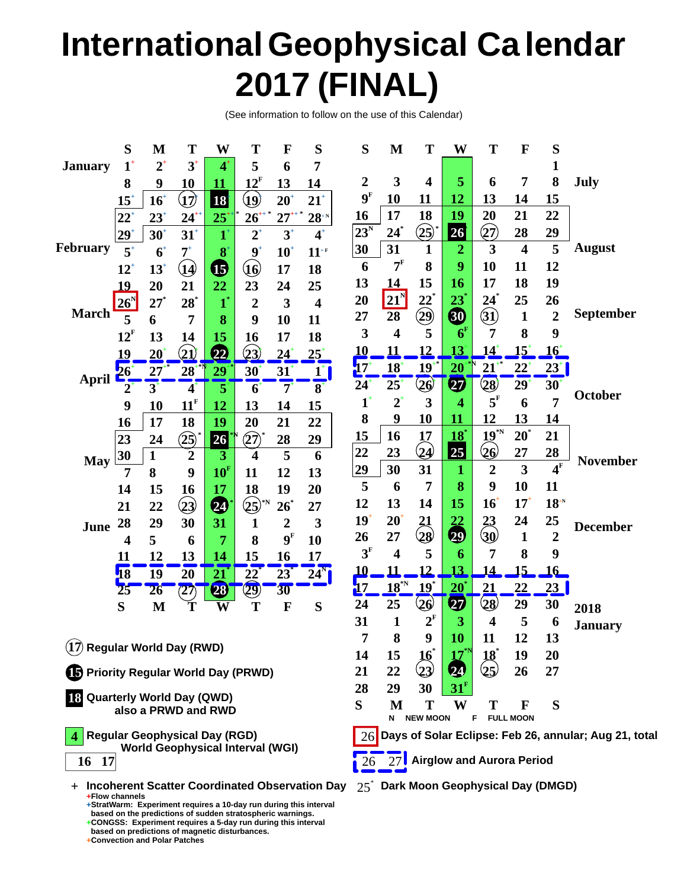## **International Geophysical Ca lendar 2017 (FINAL)**

(See information to follow on the use of this Calendar)

|                                                            | S                                                                                          | M              | T                          | W                       | T                  | F                       | S                            | S                | M                          | T                                                           | W                     | T                       | F                       | S                  |                 |  |  |
|------------------------------------------------------------|--------------------------------------------------------------------------------------------|----------------|----------------------------|-------------------------|--------------------|-------------------------|------------------------------|------------------|----------------------------|-------------------------------------------------------------|-----------------------|-------------------------|-------------------------|--------------------|-----------------|--|--|
| <b>January</b>                                             | $1^{\dagger}$                                                                              | $2^{\dagger}$  | $3^{\circ}$                | $4^{\circ}$             | 5                  | 6                       | 7                            |                  |                            |                                                             |                       |                         |                         | 1                  |                 |  |  |
|                                                            | 8                                                                                          | 9              | 10                         | 11                      | $12^{\rm F}$       | 13                      | 14                           | $\boldsymbol{2}$ | 3                          | $\overline{\mathbf{4}}$                                     | 5                     | 6                       | 7                       | 8                  | July            |  |  |
|                                                            | $15^{\circ}$                                                                               | $16+$          | $\bf (y)$                  | <b>18</b>               | $\bf (p)$          | $20^{\circ}$            | $21^+$                       | 9 <sup>F</sup>   | 10                         | 11                                                          | 12                    | 13                      | 14                      | 15                 |                 |  |  |
|                                                            | $22^{\circ}$                                                                               | $23^{\circ}$   | $24^+$                     | $25^{\circ}$            | $26+$              | $27^{\circ}$            | $28^{\scriptscriptstyle +N}$ | 16               | 17                         | 18                                                          | 19                    | 20                      | 21                      | 22                 |                 |  |  |
|                                                            | $29+$                                                                                      | $30^{\circ}$   | $31^{\circ}$               | $\mathbf{1}^*$          | $2^+$              | $3^{\circ}$             | $4^+$                        | $23^N$           | $\mathbf{24}^*$            | (25)                                                        | 26                    | 27)                     | 28                      | 29                 |                 |  |  |
| <b>February</b>                                            | $5^{\circ}$                                                                                | 6 <sup>4</sup> | $7^{\scriptscriptstyle +}$ | 8                       | $9^{\circ}$        | $10^{\circ}$            | $11+$ <sup>F</sup>           | 30               | 31                         | $\mathbf{1}$                                                | $\overline{2}$        | 3                       | $\overline{\mathbf{4}}$ | 5                  | <b>August</b>   |  |  |
|                                                            | $12^{\circ}$                                                                               | $13^{\circ}$   | $\mathbf{u}$               | $\bf \Phi$              | ∖ւճ                | 17                      | 18                           | 6                | 7 <sup>F</sup>             | 8                                                           | 9                     | 10                      | 11                      | 12                 |                 |  |  |
|                                                            | 19                                                                                         | 20             | 21                         | 22                      | 23                 | 24                      | 25                           | 13               | 14                         | 15                                                          | 16                    | 17                      | 18                      | 19                 |                 |  |  |
|                                                            | $26^{\rm N}$                                                                               | $27^*$         | $28^*$                     | $\boldsymbol{1}^*$      | $\overline{2}$     | $\overline{\mathbf{3}}$ | $\overline{\mathbf{4}}$      | 20               | $21^{\circ}$               | $22^{*}$                                                    | $23^*$                | $24^{\degree}$          | 25                      | 26                 |                 |  |  |
| <b>March</b>                                               | $\overline{5}$                                                                             | 6              | 7                          | 8                       | 9                  | 10                      | 11                           | 27               | 28                         | $\bigcircled{29}$                                           | 0                     | $\bigcircled{31}$       | $\mathbf{1}$            | $\overline{2}$     | September       |  |  |
|                                                            | $12^{\rm F}$                                                                               | 13             | 14                         | 15                      | 16                 | 17                      | 18                           | 3                | $\overline{\mathbf{4}}$    | 5                                                           | 6 <sup>F</sup>        | 7                       | 8                       | 9                  |                 |  |  |
|                                                            | 19                                                                                         | 20             | $\bf(21)$                  | 22                      | (23)               | $24^{\circ}$            | $25^{\circ}$                 | <u>10</u>        | <u> 11</u>                 | 12                                                          | 13                    | <u> 14</u>              | $15^{\circ}$            | <u> 16†</u>        |                 |  |  |
|                                                            | $26^{\circ}$                                                                               | 27             | 28                         | 29                      | $30^{\circ}$       | $31+$                   | $1^{\dagger}$                | 17               | $18^+$                     | $19+$                                                       | 20                    | $21^{+}$                | $22^{1}$                | $ 23^{+} $         |                 |  |  |
| <b>April</b>                                               | $2^{\circ}$                                                                                | $3^{\circ}$    | $\boldsymbol{4}^{\cdot}$   | 5                       | 6                  | $7^{\circ}$             | $\overline{\mathbf{8}^+}$    | $24^{\circ}$     | $25^{\circ}$               | $\overline{26}$                                             | $\boldsymbol{\varpi}$ | $\left( 28\right)$      | 29 <sup>1</sup>         | $30^{\circ}$       |                 |  |  |
|                                                            | 9                                                                                          | 10             | 11 <sup>F</sup>            | 12                      | 13                 | 14                      | 15                           | $1^{\circ}$      | $2^{\scriptscriptstyle +}$ | 3                                                           | 4                     | $5^{\rm F}$             | 6                       | 7                  | October         |  |  |
|                                                            | 16                                                                                         | 17             | 18                         | 19                      | 20                 | 21                      | 22                           | 8                | 9                          | 10                                                          | 11                    | 12                      | 13                      | 14                 |                 |  |  |
|                                                            | 23                                                                                         | 24             | $\circled{25}$             | 26                      | $(\widehat{27})$   | 28                      | 29                           | 15               | 16                         | 17                                                          | $\overline{18}^*$     | $19^{\circ}$ N          | $20^{\degree}$          | 21                 |                 |  |  |
|                                                            | 30                                                                                         | $\mathbf{1}$   | $\overline{2}$             | 3                       | 4                  | 5                       | 6                            | 22               | 23                         | $\bigcirc \!\! \! \! 2$                                     | 25                    | 20                      | 27                      | 28                 |                 |  |  |
| <b>May</b>                                                 | 7                                                                                          | 8              | 9                          | 10 <sup>F</sup>         | 11                 | 12                      | 13                           | 29               | 30                         | 31                                                          | $\mathbf 1$           | $\overline{2}$          | $\overline{\mathbf{3}}$ | $\overline{4^F}$   | <b>November</b> |  |  |
|                                                            | 14                                                                                         | 15             | 16                         | 17                      | 18                 | 19                      | 20                           | 5                | 6                          | 7                                                           | 8                     | 9                       | 10                      | 11                 |                 |  |  |
|                                                            | 21                                                                                         | 22             | $\bf \Omega$               | Ø                       | $\left( 25\right)$ | $26^{\degree}$          | 27                           | 12               | 13                         | 14                                                          | 15                    | $16^{\circ}$            | $17^{\circ}$            | $18^{\mathrm{th}}$ |                 |  |  |
| June                                                       | 28                                                                                         | 29             | 30                         | 31                      | 1                  | $\overline{2}$          | $\overline{\mathbf{3}}$      | 19               | $20^{\circ}$               | 21                                                          | $\overline{22}$       | 23                      | 24                      | 25                 | <b>December</b> |  |  |
|                                                            | 4                                                                                          | 5              | 6                          | 7                       | 8                  | 9 <sup>F</sup>          | 10                           | 26               | 27                         | $\bf \Omega 8$                                              | Ø                     |                         | $\mathbf{1}$            | $\overline{2}$     |                 |  |  |
|                                                            | 11                                                                                         | 12             | 13                         | 14                      | 15                 | 16                      | 17                           | $3^{\rm F}$      | $\overline{\mathbf{4}}$    | 5                                                           | 6                     | 7                       | 8                       | 9                  |                 |  |  |
|                                                            | <b>18</b>                                                                                  | 19             | 20                         | $\overline{21}$         | $\overline{22}$    | $23^*$                  | $24^{N}$                     | 10               | 11                         | 12                                                          | 13                    | 14                      | $\overline{5}$          | <u> 16 </u>        |                 |  |  |
|                                                            | 25                                                                                         | 26             | (27)                       | 28                      | $\left( 29\right)$ | 30 <sup>°</sup>         |                              | 17               | $18^{\circ}$               | $19*$                                                       | $20^{\degree}$        | 21                      | 22                      | 23                 |                 |  |  |
|                                                            | S                                                                                          | $\mathbf{M}$   | Ť                          | $\overline{\textbf{W}}$ | T                  | $\mathbf F$             | S                            | 24               | 25                         | $\bf 26$                                                    | Ø                     | $\left( 28\right)$      | 29                      | 30                 | 2018            |  |  |
|                                                            |                                                                                            |                |                            |                         |                    |                         |                              | 31               | 1                          | $2^{\rm F}$                                                 | 3                     | $\overline{\mathbf{4}}$ | 5                       | 6                  | <b>January</b>  |  |  |
|                                                            |                                                                                            |                |                            |                         |                    |                         |                              | $\overline{7}$   | 8                          | 9                                                           | 10                    | 11                      | 12                      | 13                 |                 |  |  |
| $\widehat{\mathbf{17}}$ Regular World Day (RWD)            |                                                                                            |                |                            |                         |                    |                         |                              |                  | 15                         | $16^{\degree}$                                              | 17                    | 18°                     | 19                      | 20                 |                 |  |  |
| <b>5 Priority Regular World Day (PRWD)</b>                 |                                                                                            |                |                            |                         |                    |                         |                              |                  | 22                         | $\mathbf{Q3}$                                               | 24                    | $\left( 25\right)$      | 26                      | 27                 |                 |  |  |
|                                                            |                                                                                            |                |                            |                         |                    |                         |                              |                  | 29                         | 30                                                          | 31 <sup>1</sup>       |                         |                         |                    |                 |  |  |
| <b>18 Quarterly World Day (QWD)</b><br>also a PRWD and RWD |                                                                                            |                |                            |                         |                    |                         |                              |                  | M<br>N                     | Т<br><b>NEW MOON</b>                                        | W                     | Т<br>F                  | F<br><b>FULL MOON</b>   | S                  |                 |  |  |
|                                                            | <b>Regular Geophysical Day (RGD)</b><br><b>World Geophysical Interval (WGI)</b>            |                |                            |                         |                    |                         |                              |                  |                            | Days of Solar Eclipse: Feb 26, annular; Aug 21, total<br>26 |                       |                         |                         |                    |                 |  |  |
| 16                                                         | -17                                                                                        |                |                            |                         |                    |                         |                              |                  |                            | <b>Airglow and Aurora Period</b><br>27<br>26                |                       |                         |                         |                    |                 |  |  |
|                                                            | $+$ Incoherent Scatter Coordinated Observation Day $25^*$ Dark Moon Geophysical Day (DMGD) |                |                            |                         |                    |                         |                              |                  |                            |                                                             |                       |                         |                         |                    |                 |  |  |

**Flow channels + StratWarm: Experiment requires a 10-day run during this interval +**

**CONGSS: Experiment requires a 5-day run during this interval +**

**based on the predictions of sudden stratospheric warnings.**

**based on predictions of magnetic disturbances. Convection and Polar Patches +**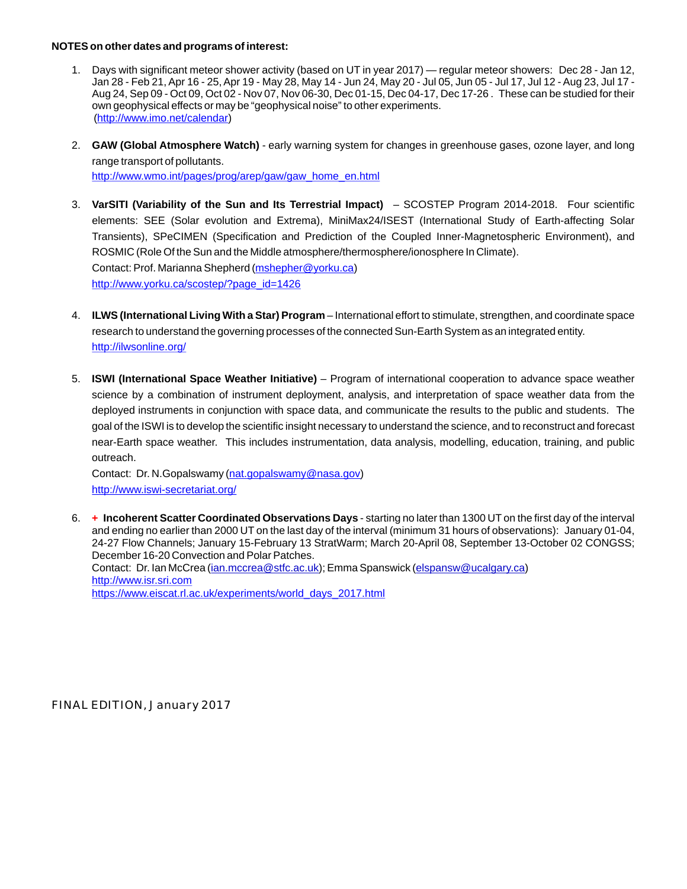## **NOTES on other dates and programs of interest:**

- 1. Days with significant meteor shower activity (based on UT in year 2017) regular meteor showers: Dec 28 Jan 12, Jan 28 - Feb 21, Apr 16 - 25, Apr 19 - May 28, May 14 - Jun 24, May 20 - Jul 05, Jun 05 - Jul 17, Jul 12 - Aug 23, Jul 17 - Aug 24, Sep 09 - Oct 09, Oct 02 - Nov 07, Nov 06-30, Dec 01-15, Dec 04-17, Dec 17-26 . These can be studied for their own geophysical effects or may be "geophysical noise" to other experiments. (http://www.imo.net/calendar)
- 2. **GAW (Global Atmosphere Watch)** early warning system for changes in greenhouse gases, ozone layer, and long range transport of pollutants. http://www.wmo.int/pages/prog/arep/gaw/gaw\_home\_en.html
- 3. **VarSITI (Variability of the Sun and Its Terrestrial Impact)** SCOSTEP Program 2014-2018. Four scientific elements: SEE (Solar evolution and Extrema), MiniMax24/ISEST (International Study of Earth-affecting Solar Transients), SPeCIMEN (Specification and Prediction of the Coupled Inner-Magnetospheric Environment), and ROSMIC (Role Of the Sun and the Middle atmosphere/thermosphere/ionosphere In Climate). Contact: Prof. Marianna Shepherd (<u>mshepher@yorku.ca</u>) http://www.yorku.ca/scostep/?page\_id=1426
- 4. **ILWS (International Living With a Star) Program** International effort to stimulate, strengthen, and coordinate space research to understand the governing processes of the connected Sun-Earth System as an integrated entity. http://ilwsonline.org/
- 5. **ISWI (International Space Weather Initiative)** Program of international cooperation to advance space weather science by a combination of instrument deployment, analysis, and interpretation of space weather data from the deployed instruments in conjunction with space data, and communicate the results to the public and students. The goal of the ISWI is to develop the scientific insight necessary to understand the science, and to reconstruct and forecast near-Earth space weather. This includes instrumentation, data analysis, modelling, education, training, and public outreach.

Contact: Dr. N.Gopalswamy (nat.gopalswamy@nasa.gov) http://www.iswi-secretariat.org/

6. **Incoherent Scatter Coordinated Observations Days** - starting no later than 1300 UT on the first day of the interval **+** and ending no earlier than 2000 UT on the last day of the interval (minimum 31 hours of observations): January 01-04, 24-27 Flow Channels; January 15-February 13 StratWarm; March 20-April 08, September 13-October 02 CONGSS; December 16-20 Convection and Polar Patches. Contact: Dr. Ian McCrea (<u>[ian.mccrea@stfc.ac.uk](http://(ian.mccrea@stfc.ac.uk);));</u> Emma Spanswick <u>([elspansw@ucalgary.ca](http://(ian.mccrea@stfc.ac.uk),)</u>) http://www.isr.sri.com https://www.eiscat.rl.ac.uk/experiments/world\_days\_2017.html

FINAL EDITION, January 2017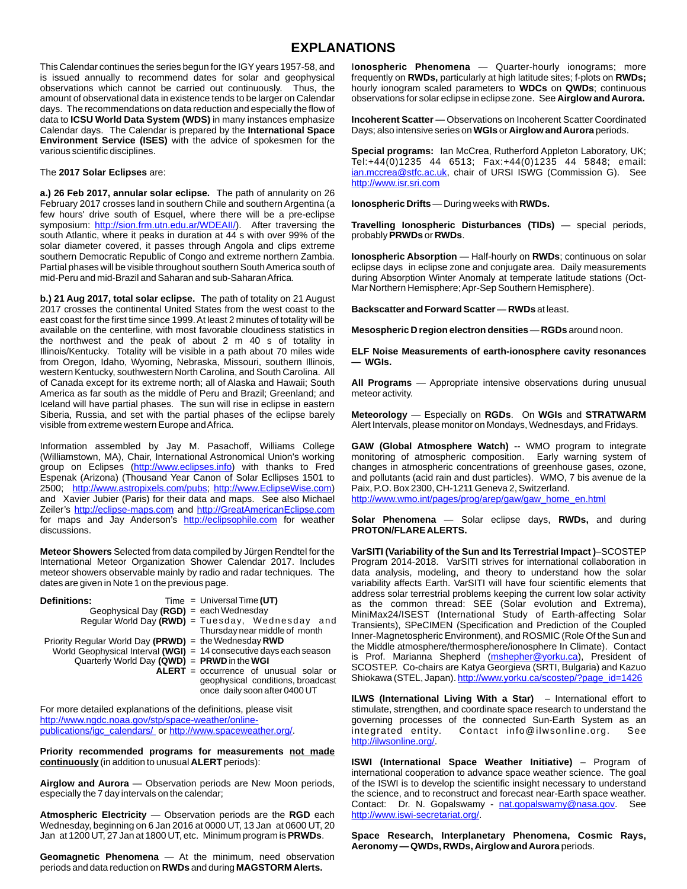## **EXPLANATIONS**

This Calendar continues the series begun for the IGYyears 1957-58, and is issued annually to recommend dates for solar and geophysical observations which cannot be carried out continuously. Thus, the amount of observational data in existence tends to be larger on Calendar days. The recommendations on data reduction and especially the flow of data to **ICSU World Data System (WDS)** in many instances emphasize Calendar days. The Calendar is prepared by the **International Space Environment Service (ISES)** with the advice of spokesmen for the various scientific disciplines.

## The **2017 Solar Eclipses** are:

**a.) 26 Feb 2017, annular solar eclipse.** The path of annularity on 26 February 2017 crosses land in southern Chile and southern Argentina (a few hours' drive south of Esquel, where there will be a pre-eclipse symposium: http://sion.frm.utn.edu.ar/WDEAII/). After traversing the south Atlantic, where it peaks in duration at 44 s with over 99% of the solar diameter covered, it passes through Angola and clips extreme southern Democratic Republic of Congo and extreme northern Zambia. Partial phases will be visible throughout southern South America south of mid-Peru and mid-Brazil and Saharan and sub-Saharan Africa.

**b.) 21 Aug 2017, total solar eclipse.** The path of totality on 21 August 2017 crosses the continental United States from the west coast to the east coast for the first time since 1999. At least 2 minutes of totality will be available on the centerline, with most favorable cloudiness statistics in the northwest and the peak of about 2 m 40 s of totality in Illinois/Kentucky. Totality will be visible in a path about 70 miles wide from Oregon, Idaho, Wyoming, Nebraska, Missouri, southern Illinois, western Kentucky, southwestern North Carolina, and South Carolina. All of Canada except for its extreme north; all of Alaska and Hawaii; South America as far south as the middle of Peru and Brazil; Greenland; and Iceland will have partial phases. The sun will rise in eclipse in eastern Siberia, Russia, and set with the partial phases of the eclipse barely visible from extreme western Europe and Africa.

Information assembled by Jay M. Pasachoff, Williams College (Williamstown, MA), Chair, International Astronomical Union's working group on Eclipses (http://www.eclipses.info) with thanks to Fred Espenak (Arizona) (Thousand Year Canon of Solar Ecllipses 1501 to 2500; http://www.astropixels.com/pubs; http://www.EclipseWise.com) and Xavier Jubier (Paris) for their data and maps. See also Michael Zeiler's http://eclipse-maps.com and http://GreatAmericanEclipse.com for maps and Jay Anderson's http://eclipsophile.com for weather discussions.

**Meteor Showers** Selected from data compiled by Jürgen Rendtel for the International Meteor Organization Shower Calendar 2017. Includes meteor showers observable mainly by radio and radar techniques. The dates are given in Note 1 on the previous page.

| <b>Definitions:</b>                                   | $Time = Universal Time (UT)$                                                                                   |
|-------------------------------------------------------|----------------------------------------------------------------------------------------------------------------|
| Geophysical Day ( $RGB$ ) = each Wednesday            |                                                                                                                |
|                                                       | Reqular World Day (RWD) = Tuesday, Wednesday and                                                               |
|                                                       | Thursday near middle of month                                                                                  |
| Priority Regular World Day (PRWD) = the Wednesday RWD |                                                                                                                |
|                                                       | World Geophysical Interval (WGI) = $14$ consecutive days each season                                           |
| Quarterly World Day $(QWD)$ = PRWD in the WGI         |                                                                                                                |
|                                                       | $ALERT = occurrence of unusual solar or$<br>geophysical conditions, broadcast<br>once daily soon after 0400 UT |

For more detailed explanations of the definitions, please visit publications/igc\_calendars/ or http://www.spaceweather.org/. http://www.ngdc.noaa.gov/stp/space-weather/online-

**Priority recommended programs for measurements not made continuously** (in addition to unusual **ALERT** periods):

**Airglow and Aurora** — Observation periods are New Moon periods, especially the 7 day intervals on the calendar;

**Atmospheric Electricity** — Observation periods are the **RGD** each Wednesday, beginning on 6 Jan 2016 at 0000 UT, 13 Jan at 0600 UT, 20 Jan at 1200 UT, 27 Jan at 1800 UT, etc. Minimum program is **PRWDs**.

**Geomagnetic Phenomena** — At the minimum, need observation periods and data reduction on **RWDs** and during **MAGSTORM Alerts.**

I**onospheric Phenomena** — Quarter-hourly ionograms; more frequently on **RWDs,** particularly at high latitude sites; f-plots on **RWDs;** hourly ionogram scaled parameters to **WDCs** on **QWDs**; continuous observations for solar eclipse in eclipse zone. See **Airglow and Aurora.**

**Incoherent Scatter —** Observations on Incoherent Scatter Coordinated Days; also intensive series on **WGIs** or **Airglow and Aurora** periods.

**Special programs:** Ian McCrea, Rutherford Appleton Laboratory, UK; Tel:+44(0)1235 44 6513; Fax:+44(0)1235 44 5848; email: ian.mccrea@stfc.ac.uk, chair of URSI ISWG (Commission G). See http://www.isr.sri.com

**Ionospheric Drifts** — During weeks with **RWDs.**

**Travelling Ionospheric Disturbances (TIDs)** — special periods, probably **PRWDs** or **RWDs**.

**Ionospheric Absorption** — Half-hourly on **RWDs**; continuous on solar eclipse days in eclipse zone and conjugate area. Daily measurements during Absorption Winter Anomaly at temperate latitude stations (Oct-Mar Northern Hemisphere; Apr-Sep Southern Hemisphere).

**Backscatter and Forward Scatter** — **RWDs** at least.

**Mesospheric D region electron densities** — **RGDs** around noon.

**ELF Noise Measurements of earth-ionosphere cavity resonances — WGIs.**

**All Programs** — Appropriate intensive observations during unusual meteor activity.

**Meteorology** — Especially on **RGDs**. On **WGIs** and **STRATWARM**  Alert Intervals, please monitor on Mondays, Wednesdays, and Fridays.

**GAW (Global Atmosphere Watch)** -- WMO program to integrate monitoring of atmospheric composition. Early warning system of changes in atmospheric concentrations of greenhouse gases, ozone, and pollutants (acid rain and dust particles). WMO, 7 bis avenue de la Paix, P.O. Box 2300, CH-1211 Geneva 2, Switzerland. http://www.wmo.int/pages/prog/arep/gaw/gaw\_home\_en.html

**Solar Phenomena** — Solar eclipse days, **RWDs,** and during **PROTON/FLARE ALERTS.**

**VarSITI (Variability of the Sun and Its Terrestrial Impact )**–SCOSTEP Program 2014-2018. VarSITI strives for international collaboration in data analysis, modeling, and theory to understand how the solar variability affects Earth. VarSITI will have four scientific elements that address solar terrestrial problems keeping the current low solar activity as the common thread: SEE (Solar evolution and Extrema), MiniMax24/ISEST (International Study of Earth-affecting Solar Transients), SPeCIMEN (Specification and Prediction of the Coupled Inner-Magnetospheric Environment), and ROSMIC (Role Of the Sun and the Middle atmosphere/thermosphere/ionosphere In Climate). Contact is Prof. Marianna Shepherd (mshepher@yorku.ca), President of SCOSTEP. Co-chairs are Katya Georgieva (SRTI, Bulgaria) and Kazuo Shiokawa (STEL, Japan). <u>http://www.yorku.ca/scostep/?page\_id=1426</u>

**ILWS (International Living With a Star)** – International effort to stimulate, strengthen, and coordinate space research to understand the governing processes of the connected Sun-Earth System as an integrated entity. Contact info@ilwsonline.org. See http://ilwsonline.org/.

**ISWI (International Space Weather Initiative)** – Program of international cooperation to advance space weather science. The goal of the ISWI is to develop the scientific insight necessary to understand the science, and to reconstruct and forecast near-Earth space weather. Contact: Dr. N. Gopalswamy - nat.gopalswamy@nasa.gov. See http://www.iswi-secretariat.org/.

**Space Research, Interplanetary Phenomena, Cosmic Rays, Aeronomy — QWDs, RWDs, Airglow and Aurora** periods.